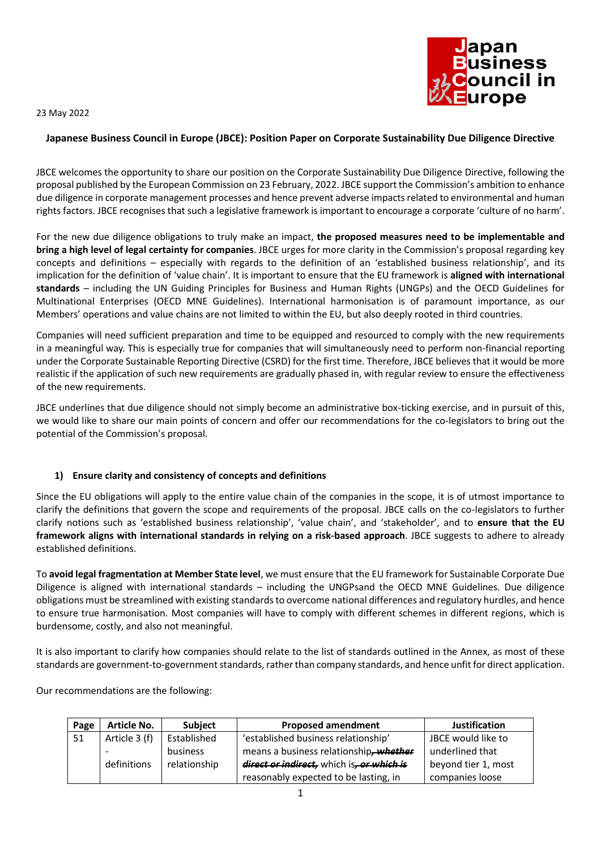23 May 2022



# **Japanese Business Council in Europe (JBCE): Position Paper on Corporate Sustainability Due Diligence Directive**

JBCE welcomes the opportunity to share our position on the Corporate Sustainability Due Diligence Directive, following the proposal published by the European Commission on 23 February, 2022. JBCE support the Commission's ambition to enhance due diligence in corporate management processes and hence prevent adverse impacts related to environmental and human rights factors. JBCE recognises that such a legislative framework is important to encourage a corporate 'culture of no harm'.

For the new due diligence obligations to truly make an impact, **the proposed measures need to be implementable and bring a high level of legal certainty for companies**. JBCE urges for more clarity in the Commission's proposal regarding key concepts and definitions – especially with regards to the definition of an 'established business relationship', and its implication for the definition of 'value chain'. It is important to ensure that the EU framework is **aligned with international standards** – including the UN Guiding Principles for Business and Human Rights (UNGPs) and the OECD Guidelines for Multinational Enterprises (OECD MNE Guidelines). International harmonisation is of paramount importance, as our Members' operations and value chains are not limited to within the EU, but also deeply rooted in third countries.

Companies will need sufficient preparation and time to be equipped and resourced to comply with the new requirements in a meaningful way. This is especially true for companies that will simultaneously need to perform non-financial reporting under the Corporate Sustainable Reporting Directive (CSRD) for the first time. Therefore, JBCE believes that it would be more realistic if the application of such new requirements are gradually phased in, with regular review to ensure the effectiveness of the new requirements.

JBCE underlines that due diligence should not simply become an administrative box-ticking exercise, and in pursuit of this, we would like to share our main points of concern and offer our recommendations for the co-legislators to bring out the potential of the Commission's proposal.

### **1) Ensure clarity and consistency of concepts and definitions**

Since the EU obligations will apply to the entire value chain of the companies in the scope, it is of utmost importance to clarify the definitions that govern the scope and requirements of the proposal. JBCE calls on the co-legislators to further clarify notions such as 'established business relationship', 'value chain', and 'stakeholder', and to **ensure that the EU framework aligns with international standards in relying on a risk-based approach**. JBCE suggests to adhere to already established definitions.

To **avoid legal fragmentation at Member State level**, we must ensure that the EU framework for Sustainable Corporate Due Diligence is aligned with international standards – including the UNGPsand the OECD MNE Guidelines. Due diligence obligations must be streamlined with existing standards to overcome national differences and regulatory hurdles, and hence to ensure true harmonisation. Most companies will have to comply with different schemes in different regions, which is burdensome, costly, and also not meaningful.

It is also important to clarify how companies should relate to the list of standards outlined in the Annex, as most of these standards are government-to-government standards, rather than company standards, and hence unfit for direct application.

Our recommendations are the following:

| Page | <b>Article No.</b> | <b>Subject</b> | <b>Proposed amendment</b>                 | <b>Justification</b> |
|------|--------------------|----------------|-------------------------------------------|----------------------|
| 51   | Article 3 (f)      | Established    | 'established business relationship'       | JBCE would like to   |
|      |                    | business       | means a business relationship, whether    | underlined that      |
|      | definitions        | relationship   | direct or indirect, which is, or which is | beyond tier 1, most  |
|      |                    |                | reasonably expected to be lasting, in     | companies loose      |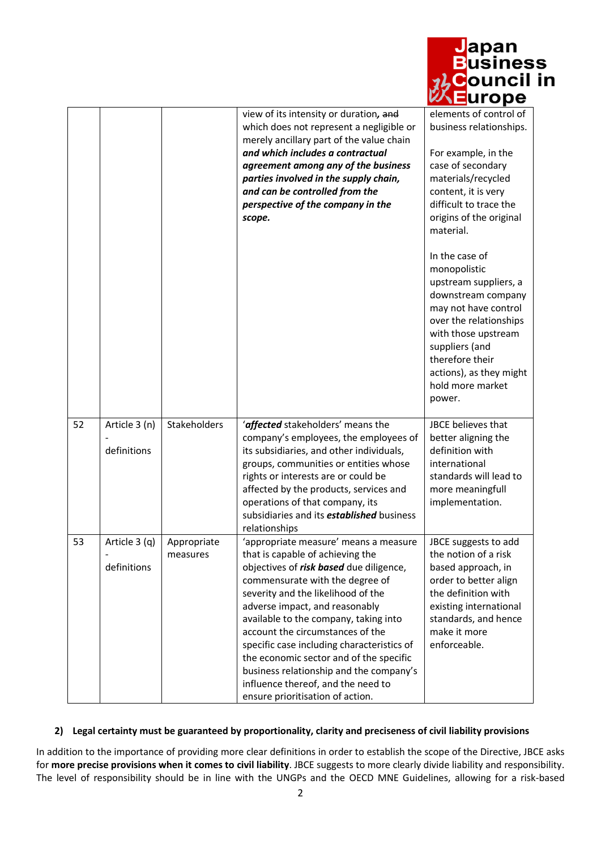|    |                              |                         |                                                                                                                                                                                                                                                                                                                                                                                                                                                                                                                            | <u> D</u> uðiliess<br><mark>⊳</mark> ouncil in<br><b>urope</b>                                                                                                                                                                                       |
|----|------------------------------|-------------------------|----------------------------------------------------------------------------------------------------------------------------------------------------------------------------------------------------------------------------------------------------------------------------------------------------------------------------------------------------------------------------------------------------------------------------------------------------------------------------------------------------------------------------|------------------------------------------------------------------------------------------------------------------------------------------------------------------------------------------------------------------------------------------------------|
|    |                              |                         | view of its intensity or duration, and<br>which does not represent a negligible or<br>merely ancillary part of the value chain<br>and which includes a contractual<br>agreement among any of the business<br>parties involved in the supply chain,<br>and can be controlled from the<br>perspective of the company in the<br>scope.                                                                                                                                                                                        | elements of control of<br>business relationships.<br>For example, in the<br>case of secondary<br>materials/recycled<br>content, it is very<br>difficult to trace the<br>origins of the original<br>material.                                         |
|    |                              |                         |                                                                                                                                                                                                                                                                                                                                                                                                                                                                                                                            | In the case of<br>monopolistic<br>upstream suppliers, a<br>downstream company<br>may not have control<br>over the relationships<br>with those upstream<br>suppliers (and<br>therefore their<br>actions), as they might<br>hold more market<br>power. |
| 52 | Article 3 (n)<br>definitions | Stakeholders            | 'affected stakeholders' means the<br>company's employees, the employees of<br>its subsidiaries, and other individuals,<br>groups, communities or entities whose<br>rights or interests are or could be<br>affected by the products, services and<br>operations of that company, its<br>subsidiaries and its <b>established</b> business<br>relationships                                                                                                                                                                   | JBCE believes that<br>better aligning the<br>definition with<br>international<br>standards will lead to<br>more meaningfull<br>implementation.                                                                                                       |
| 53 | Article 3 (q)<br>definitions | Appropriate<br>measures | 'appropriate measure' means a measure<br>that is capable of achieving the<br>objectives of risk based due diligence,<br>commensurate with the degree of<br>severity and the likelihood of the<br>adverse impact, and reasonably<br>available to the company, taking into<br>account the circumstances of the<br>specific case including characteristics of<br>the economic sector and of the specific<br>business relationship and the company's<br>influence thereof, and the need to<br>ensure prioritisation of action. | JBCE suggests to add<br>the notion of a risk<br>based approach, in<br>order to better align<br>the definition with<br>existing international<br>standards, and hence<br>make it more<br>enforceable.                                                 |

<mark>J</mark>apan

isiness

# **2) Legal certainty must be guaranteed by proportionality, clarity and preciseness of civil liability provisions**

In addition to the importance of providing more clear definitions in order to establish the scope of the Directive, JBCE asks for **more precise provisions when it comes to civil liability**. JBCE suggests to more clearly divide liability and responsibility. The level of responsibility should be in line with the UNGPs and the OECD MNE Guidelines, allowing for a risk-based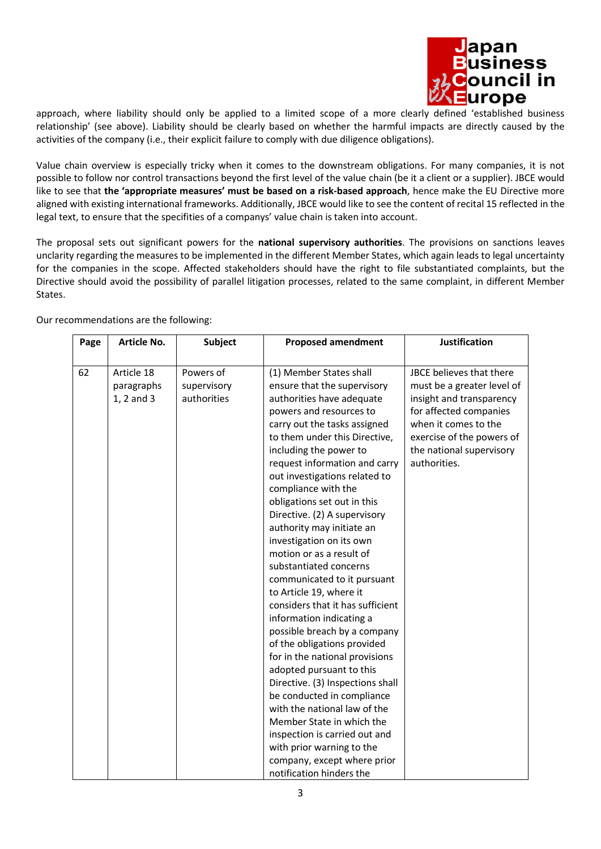

approach, where liability should only be applied to a limited scope of a more clearly defined 'established business relationship' (see above). Liability should be clearly based on whether the harmful impacts are directly caused by the activities of the company (i.e., their explicit failure to comply with due diligence obligations).

Value chain overview is especially tricky when it comes to the downstream obligations. For many companies, it is not possible to follow nor control transactions beyond the first level of the value chain (be it a client or a supplier). JBCE would like to see that **the 'appropriate measures' must be based on a risk-based approach**, hence make the EU Directive more aligned with existing international frameworks. Additionally, JBCE would like to see the content of recital 15 reflected in the legal text, to ensure that the specifities of a companys' value chain is taken into account.

The proposal sets out significant powers for the **national supervisory authorities**. The provisions on sanctions leaves unclarity regarding the measures to be implemented in the different Member States, which again leads to legal uncertainty for the companies in the scope. Affected stakeholders should have the right to file substantiated complaints, but the Directive should avoid the possibility of parallel litigation processes, related to the same complaint, in different Member States.

| JBCE believes that there<br>must be a greater level of<br>insight and transparency<br>for affected companies<br>when it comes to the<br>exercise of the powers of<br>the national supervisory |
|-----------------------------------------------------------------------------------------------------------------------------------------------------------------------------------------------|
|                                                                                                                                                                                               |

Our recommendations are the following: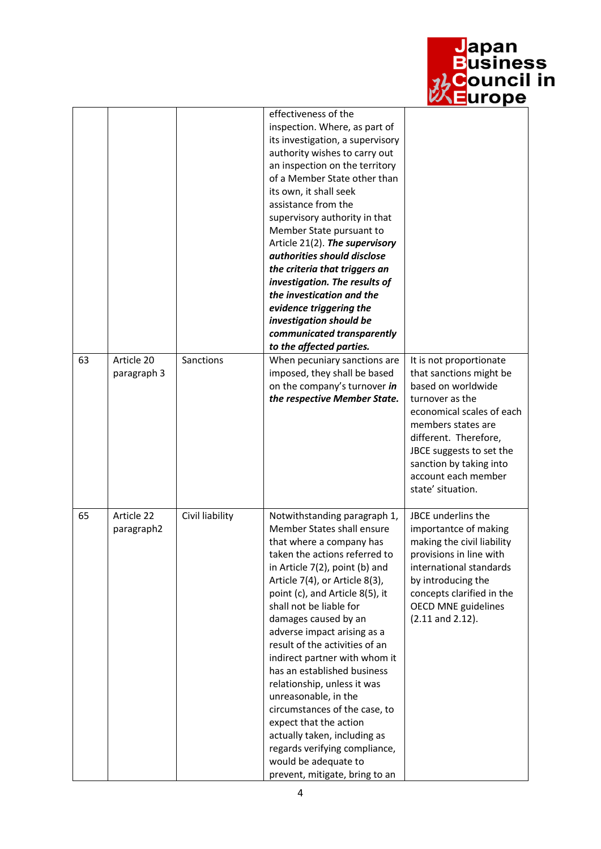

<mark>J</mark>apan<br>Business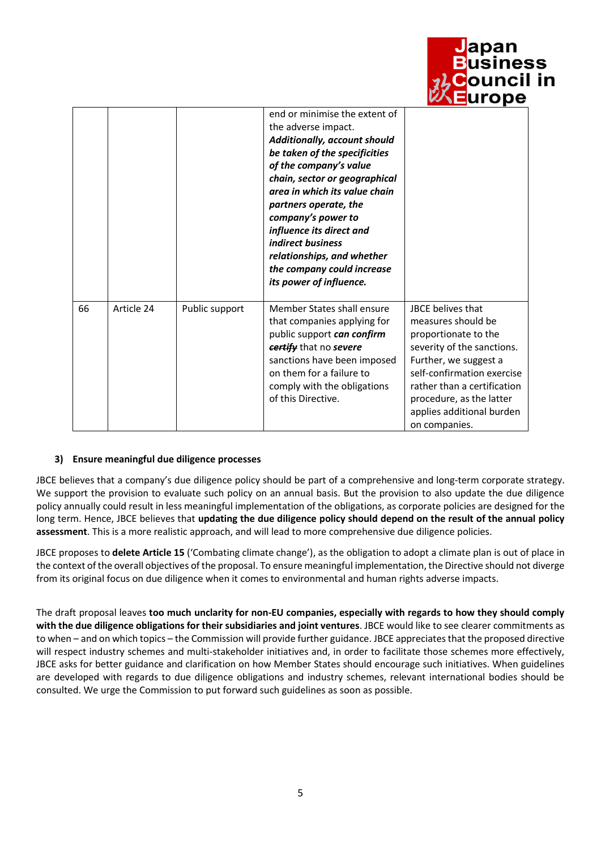|    |            |                |                                                                                                                                                                                                                                                                                                                                                                                                          | <mark>以 ∃</mark> urope                                                                                                                                                                                                                                               |
|----|------------|----------------|----------------------------------------------------------------------------------------------------------------------------------------------------------------------------------------------------------------------------------------------------------------------------------------------------------------------------------------------------------------------------------------------------------|----------------------------------------------------------------------------------------------------------------------------------------------------------------------------------------------------------------------------------------------------------------------|
|    |            |                | end or minimise the extent of<br>the adverse impact.<br>Additionally, account should<br>be taken of the specificities<br>of the company's value<br>chain, sector or geographical<br>area in which its value chain<br>partners operate, the<br>company's power to<br>influence its direct and<br>indirect business<br>relationships, and whether<br>the company could increase<br>its power of influence. |                                                                                                                                                                                                                                                                      |
| 66 | Article 24 | Public support | Member States shall ensure<br>that companies applying for<br>public support can confirm<br>certify that no severe<br>sanctions have been imposed<br>on them for a failure to<br>comply with the obligations<br>of this Directive.                                                                                                                                                                        | <b>JBCF</b> belives that<br>measures should be<br>proportionate to the<br>severity of the sanctions.<br>Further, we suggest a<br>self-confirmation exercise<br>rather than a certification<br>procedure, as the latter<br>applies additional burden<br>on companies. |

<mark>J</mark>apan<br>Business

iouncil in

# **3) Ensure meaningful due diligence processes**

JBCE believes that a company's due diligence policy should be part of a comprehensive and long-term corporate strategy. We support the provision to evaluate such policy on an annual basis. But the provision to also update the due diligence policy annually could result in less meaningful implementation of the obligations, as corporate policies are designed for the long term. Hence, JBCE believes that **updating the due diligence policy should depend on the result of the annual policy assessment**. This is a more realistic approach, and will lead to more comprehensive due diligence policies.

JBCE proposes to **delete Article 15** ('Combating climate change'), as the obligation to adopt a climate plan is out of place in the context of the overall objectives of the proposal. To ensure meaningful implementation, the Directive should not diverge from its original focus on due diligence when it comes to environmental and human rights adverse impacts.

The draft proposal leaves **too much unclarity for non-EU companies, especially with regards to how they should comply with the due diligence obligations for their subsidiaries and joint ventures**. JBCE would like to see clearer commitments as to when – and on which topics – the Commission will provide further guidance. JBCE appreciates that the proposed directive will respect industry schemes and multi-stakeholder initiatives and, in order to facilitate those schemes more effectively, JBCE asks for better guidance and clarification on how Member States should encourage such initiatives. When guidelines are developed with regards to due diligence obligations and industry schemes, relevant international bodies should be consulted. We urge the Commission to put forward such guidelines as soon as possible.